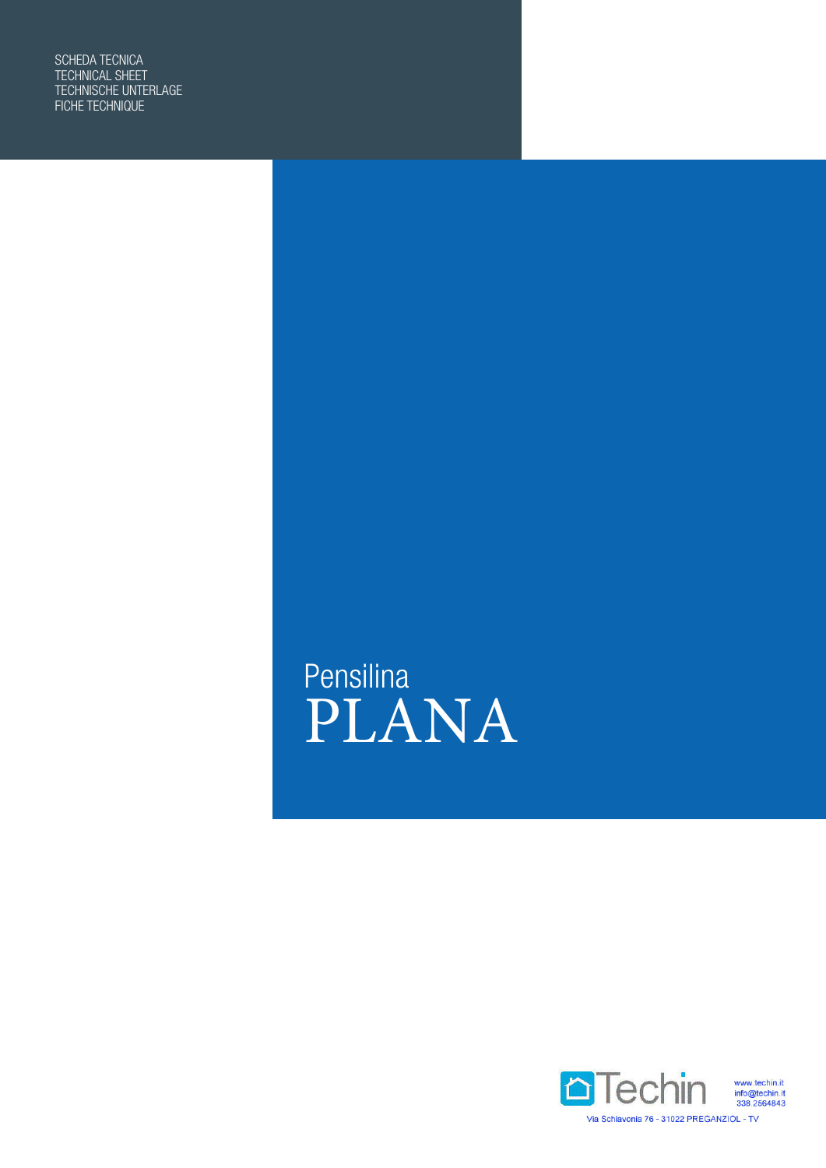SCHEDA TECNICA TECHNICAL SHEET TECHNISCHE UNTERLAGE FICHE TECHNIQUE

> Pensilina PLANA

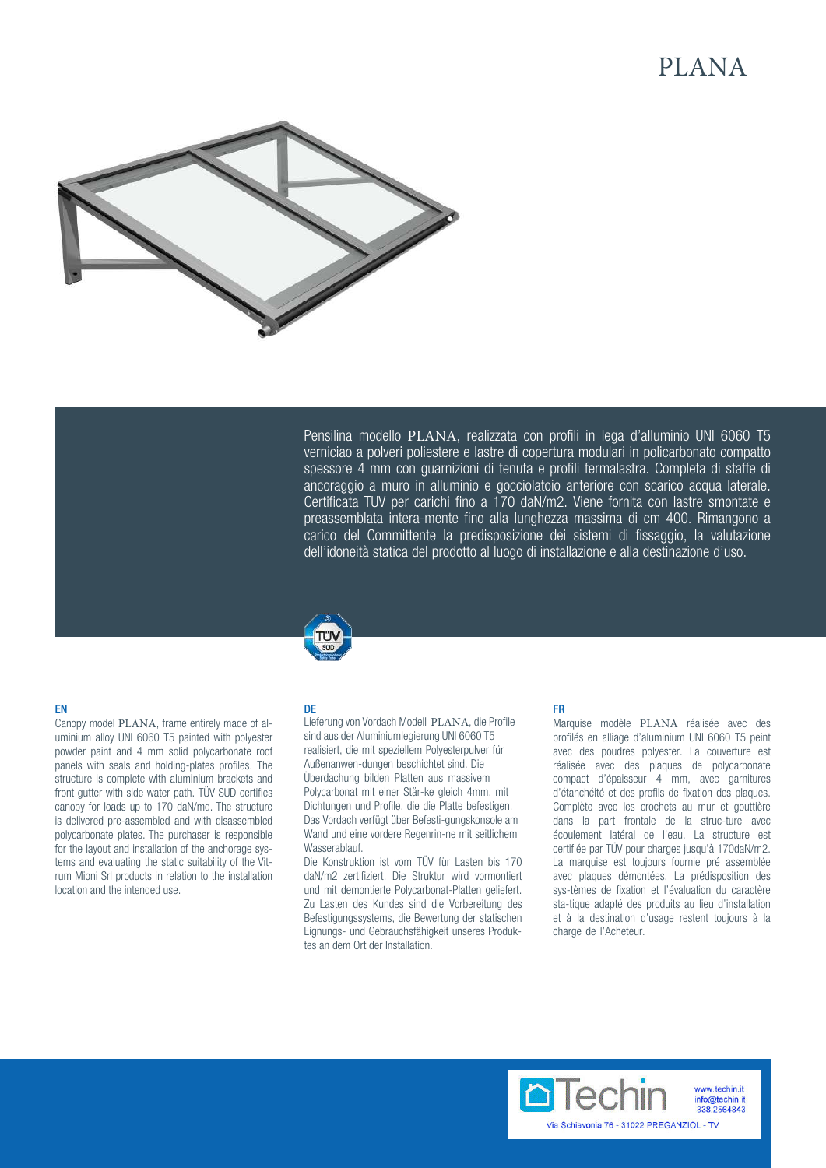# PLANA



Pensilina modello PLANA, realizzata con profili in lega d'alluminio UNI 6060 T5 verniciao a polveri poliestere e lastre di copertura modulari in policarbonato compatto spessore 4 mm con guarnizioni di tenuta e profili fermalastra. Completa di staffe di ancoraggio a muro in alluminio e gocciolatoio anteriore con scarico acqua laterale. Certificata TUV per carichi fino a 170 daN/m2. Viene fornita con lastre smontate e preassemblata intera-mente fino alla lunghezza massima di cm 400. Rimangono a carico del Committente la predisposizione dei sistemi di fissaggio, la valutazione dell'idoneità statica del prodotto al luogo di installazione e alla destinazione d'uso.



## EN

Canopy model PLANA, frame entirely made of aluminium alloy UNI 6060 T5 painted with polyester powder paint and 4 mm solid polycarbonate roof panels with seals and holding-plates profiles. The structure is complete with aluminium brackets and front gutter with side water path. TÜV SUD certifies canopy for loads up to 170 daN/mq. The structure is delivered pre-assembled and with disassembled polycarbonate plates. The purchaser is responsible for the layout and installation of the anchorage systems and evaluating the static suitability of the Vitrum Mioni Srl products in relation to the installation location and the intended use.

### DE

Lieferung von Vordach Modell PLANA, die Profile sind aus der Aluminiumlegierung UNI 6060 T5 realisiert, die mit speziellem Polyesterpulver für Außenanwen-dungen beschichtet sind. Die Überdachung bilden Platten aus massivem Polycarbonat mit einer Stär-ke gleich 4mm, mit Dichtungen und Profile, die die Platte befestigen. Das Vordach verfügt über Befesti-gungskonsole am Wand und eine vordere Regenrin-ne mit seitlichem **Wasserablauf** 

Die Konstruktion ist vom TÜV für Lasten bis 170 daN/m2 zertifiziert. Die Struktur wird vormontiert und mit demontierte Polycarbonat-Platten geliefert. Zu Lasten des Kundes sind die Vorbereitung des Befestigungssystems, die Bewertung der statischen Eignungs- und Gebrauchsfähigkeit unseres Produktes an dem Ort der Installation.

## FR

Marquise modèle PLANA réalisée avec des profilés en alliage d'aluminium UNI 6060 T5 peint avec des poudres polyester. La couverture est réalisée avec des plaques de polycarbonate compact d'épaisseur 4 mm, avec garnitures d'étanchéité et des profils de fixation des plaques. Complète avec les crochets au mur et gouttière dans la part frontale de la struc-ture avec écoulement latéral de l'eau. La structure est certifiée par TÜV pour charges jusqu'à 170daN/m2. La marquise est toujours fournie pré assemblée avec plaques démontées. La prédisposition des sys-tèmes de fixation et l'évaluation du caractère sta-tique adapté des produits au lieu d'installation et à la destination d'usage restent toujours à la charge de l'Acheteur.

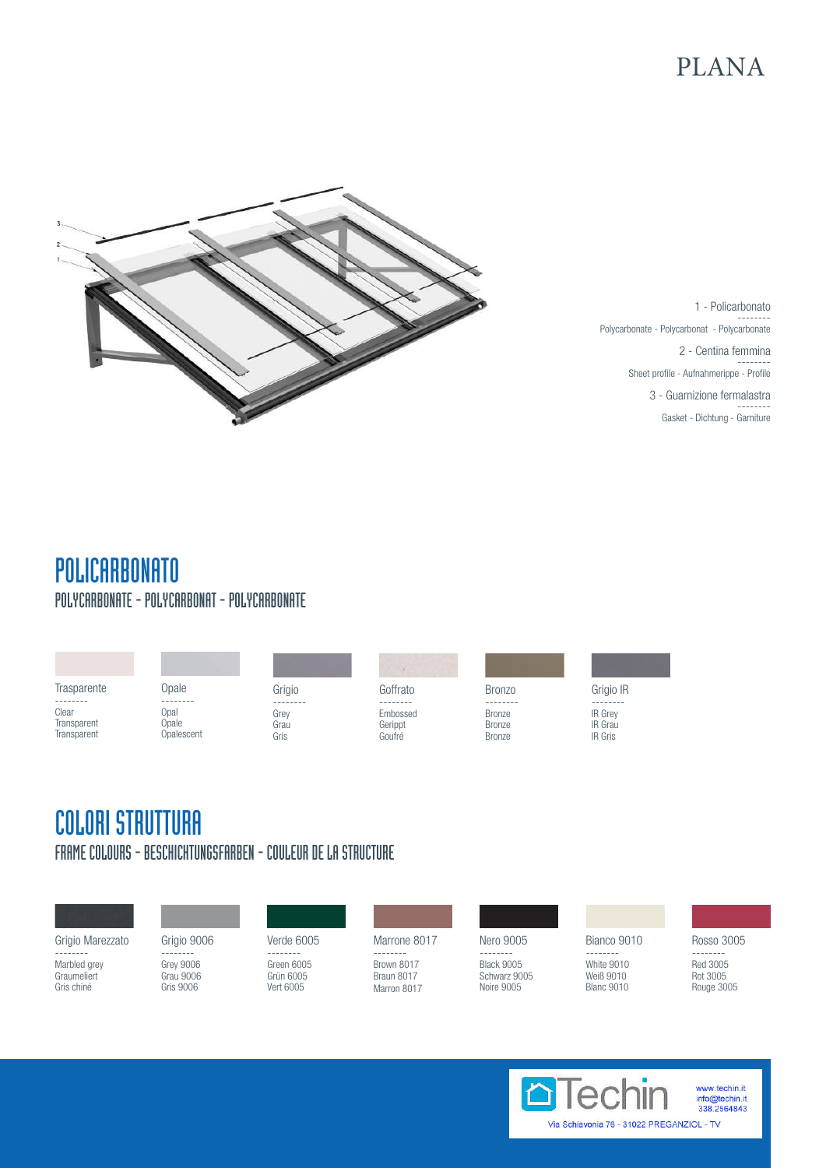# PLANA



1 - Policarbonato -------- Polycarbonate - Polycarbonat - Polycarbonate 2 - Centina femmina -------- Sheet profile - Aufnahmerippe - Profile 3 - Guarnizione fermalastra -------- Gasket - Dichtung - Garniture

# POLICARBONATO POLYCARBONATE - POLYCARBONAT - POLYCARBONATE

| Trasparente                         | Opale<br>--------           | Grigio               | Goffrato                      | <b>Bronzo</b>                                   | Grigio IR                                          |
|-------------------------------------|-----------------------------|----------------------|-------------------------------|-------------------------------------------------|----------------------------------------------------|
| Clear<br>Transparent<br>Transparent | Opal<br>Opale<br>Opalescent | Grey<br>Grau<br>Gris | Embossed<br>Gerippt<br>Goufré | <b>Bronze</b><br><b>Bronze</b><br><b>Bronze</b> | <b>IR Grey</b><br><b>IR</b> Grau<br><b>IR Gris</b> |

# COLORI STRUTTURA FRAME COLOURS - BESCHICHTUNGSFARBEN - COULEUR DE LA STRUCTURE

Grigio Marezzato -------- Marbled grey

**Graumeliert** Gris chiné

Grigio 9006 -------- Grey 9006 Grau 9006 Gris 9006

Verde 6005 -------- Green 6005 Grün 6005 Vert 6005

Marrone 8017

-------- Brown 8017 Braun 8017 Marron 8017

Nero 9005 -------- Black 9005 Schwarz 9005 Noire 9005

Bianco 9010 -------- White 9010 Weiß 9010 Blanc 9010

Rosso 3005 -------- Red 3005 Rot 3005 Rouge 3005

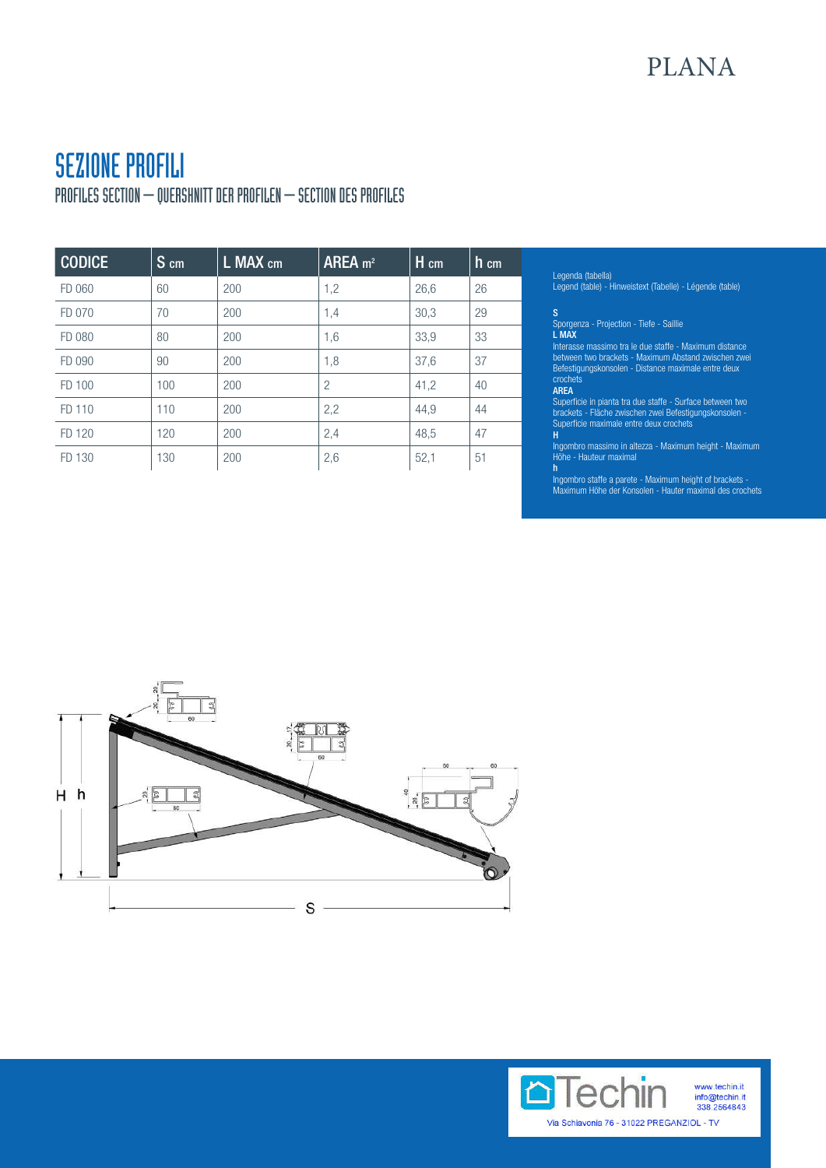# SEZIONE PROFILI

PROFILES SECTION – QUERSHNITT DER PROFILEN – SECTION DES PROFILES

| <b>CODICE</b> | $S$ cm | L MAX cm | AREA m <sup>2</sup> | H cm | $h$ cm |
|---------------|--------|----------|---------------------|------|--------|
| FD 060        | 60     | 200      | 1,2                 | 26,6 | 26     |
| FD 070        | 70     | 200      | 1,4                 | 30,3 | 29     |
| FD 080        | 80     | 200      | 1,6                 | 33,9 | 33     |
| FD 090        | 90     | 200      | 1,8                 | 37,6 | 37     |
| FD 100        | 100    | 200      | $\overline{2}$      | 41,2 | 40     |
| FD 110        | 110    | 200      | 2,2                 | 44,9 | 44     |
| FD 120        | 120    | 200      | 2,4                 | 48,5 | 47     |
| FD 130        | 130    | 200      | 2,6                 | 52,1 | 51     |
|               |        |          |                     |      |        |

## Legenda (tabella)

Legend (table) - Hinweistext (Tabelle) - Légende (table)

Sporgenza - Projection - Tiefe - Saillie<br>L MAX

Interasse massimo tra le due staffe - Maximum distance between two brackets - Maximum Abstand zwischen zwei Befestigungskonsolen - Distance maximale entre deux crochets AREA

Superficie in pianta tra due staffe - Surface between two brackets - Fläche zwischen zwei Befestigungskonsolen - Superficie maximale entre deux crochets

Ingombro massimo in altezza - Maximum height - Maximum Höhe - Hauteur maximal h

..<br>Ingombro staffe a parete - Maximum height of brackets -Maximum Höhe der Konsolen - Hauter maximal des crochets